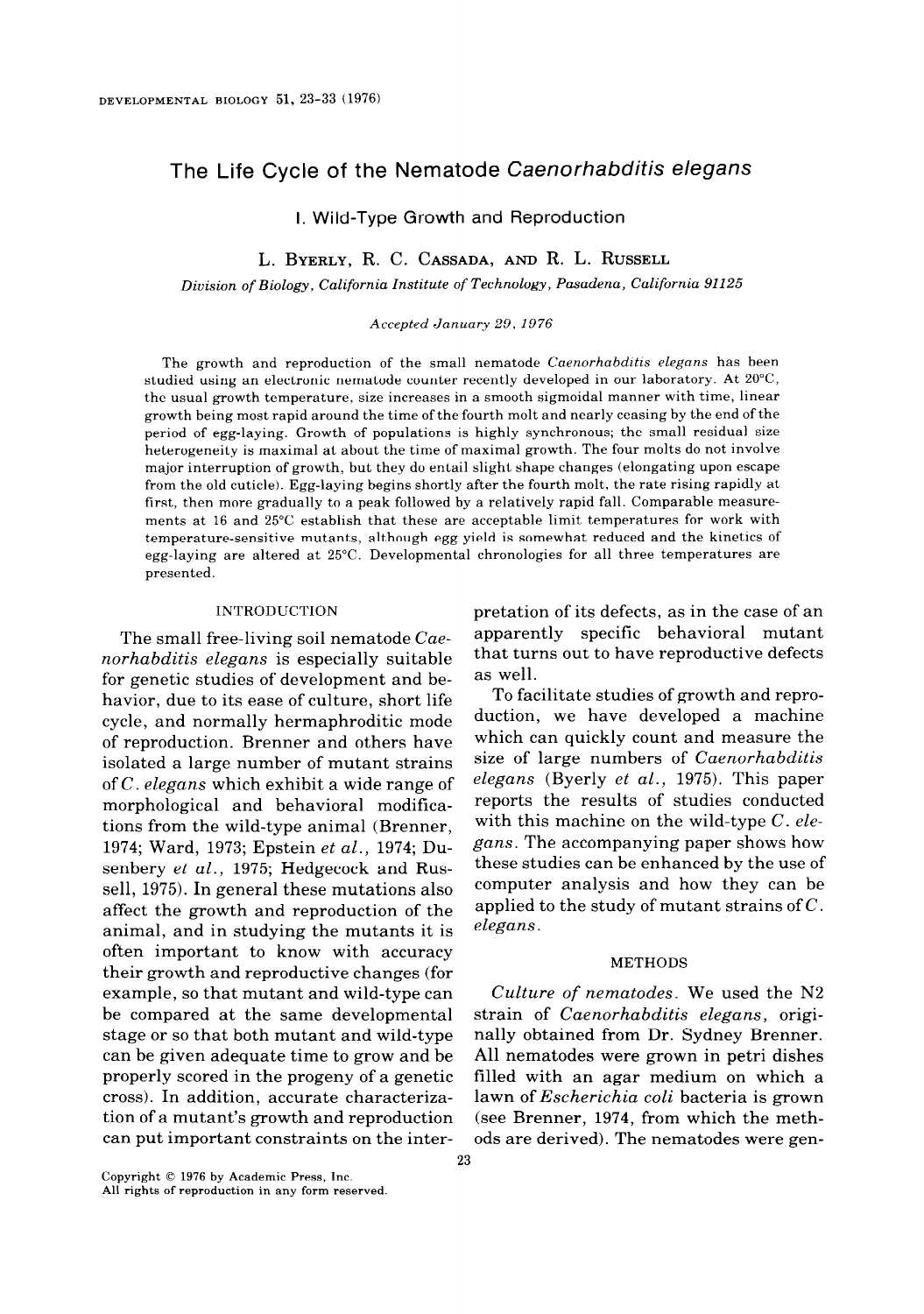# The Life Cycle of the Nematode Caenorhabditis elegans

I. Wild-Type Growth and Reproduction

L. BYERLY, R. C. CASSADA, AND R. L. RUSSELL

Division of Biology, California Institute of Technology, Pasadena, California 91125

Accepted January 29, 1976

The growth and reproduction of the small nematode Caenorhabditis elegans has been studied using an electronic nematode counter recently developed in our laboratory. At ZO"C, the usual growth temperature, size increases in a smooth sigmoidal manner with time, linear growth being most rapid around the time of the fourth molt and nearly ceasing by the end of the period of egg-laying. Growth of populations is highly synchronous; the small residual size heterogeneity is maximal at about the time of maximal growth. The four molts do not involve major interruption of growth, hut they do entail slight shape changes (elongating upon escape from the old cuticle). Egg-laying begins shortly after the fourth molt, the rate rising rapidly at first, then more gradually to a peak followed by a relatively rapid fall. Comparable measurements at 16 and 25°C establish that these are acceptable limit temperatures for work with temperature-sensitive mutants, although egg yield is somewhat reduced and the kinetics of egg-laying are altered at 25°C. Developmental chronologies for all three temperatures are presented.

#### INTRODUCTION

The small free-living soil nematode Caenorhabditis elegans is especially suitable for genetic studies of development and behavior, due to its ease of culture, short life cycle, and normally hermaphroditic mode of reproduction. Brenner and others have isolated a large number of mutant strains of  $C$ . elegans which exhibit a wide range of morphological and behavioral modifications from the wild-type animal (Brenner, 1974; Ward, 1973; Epstein et al., 1974; Dusenbery et al., 1975; Hedgecock and Russell, 1975). In general these mutations also affect the growth and reproduction of the animal, and in studying the mutants it is often important to know with accuracy their growth and reproductive changes (for example, so that mutant and wild-type can be compared at the same developmental stage or so that both mutant and wild-type can be given adequate time to grow and be properly scored in the progeny of a genetic cross). In addition, accurate characterization of a mutant's growth and reproduction can put important constraints on the interpretation of its defects, as in the case of an apparently specific behavioral mutant that turns out to have reproductive defects as well.

To facilitate studies of growth and reproduction, we have developed a machine which can quickly count and measure the size of large numbers of Caenorhabditis elegans (Byerly et al., 1975). This paper reports the results of studies conducted with this machine on the wild-type  $C.$  elegans. The accompanying paper shows how these studies can be enhanced by the use of computer analysis and how they can be applied to the study of mutant strains of  $C$ . elegans

#### METHODS

Culture of nematodes. We used the N2 strain of Caenorhabditis elegans, originally obtained from Dr. Sydney Brenner. All nematodes were grown in petri dishes filled with an agar medium on which a lawn of *Escherichia coli* bacteria is grown (see Brenner, 1974, from which the methods are derived). The nematodes were gen-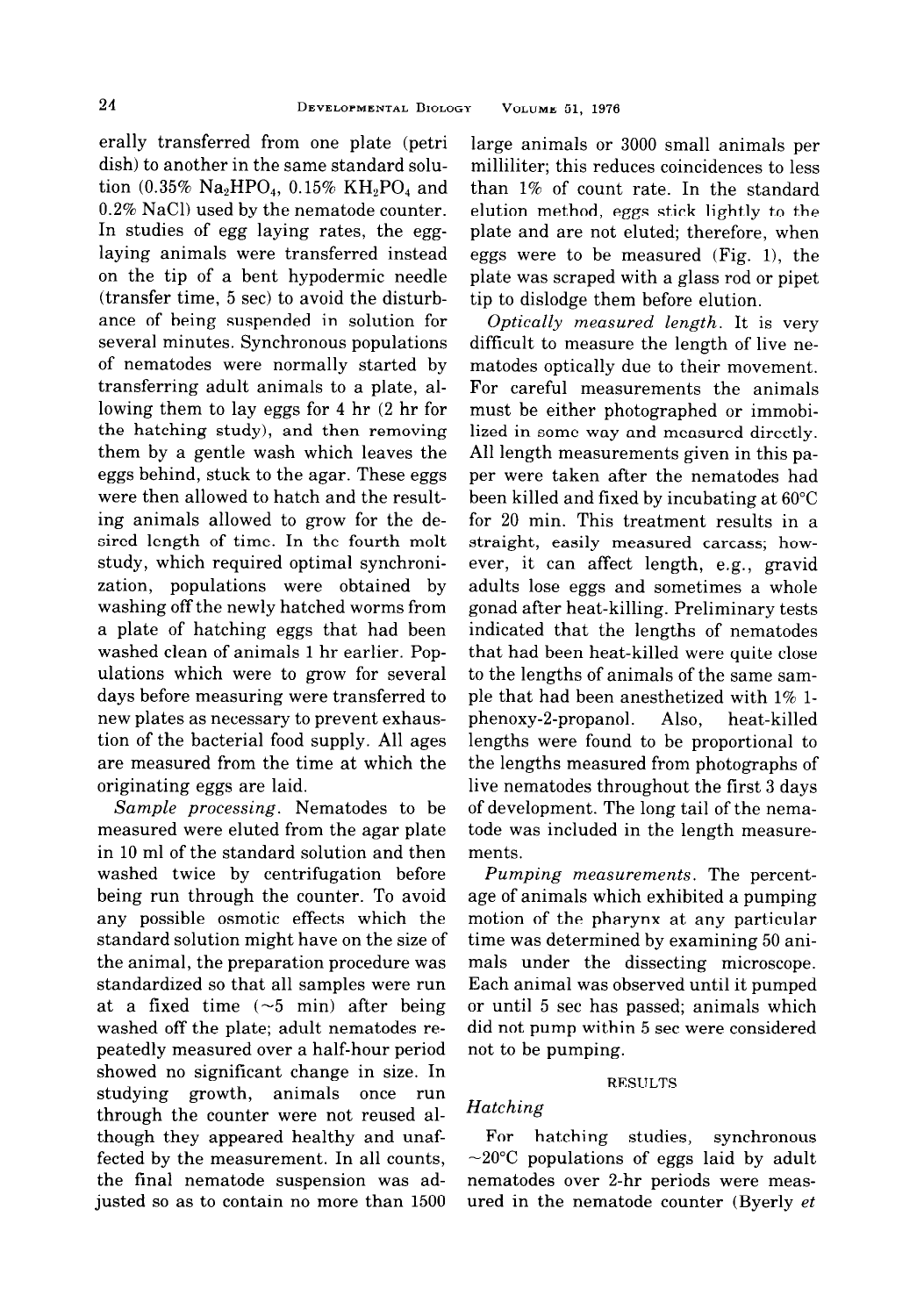erally transferred from one plate (petri dish) to another in the same standard solution (0.35%  $Na<sub>2</sub>HPO<sub>4</sub>$ , 0.15%  $KH<sub>2</sub>PO<sub>4</sub>$  and 0.2% NaCl) used by the nematode counter. In studies of egg laying rates, the egglaying animals were transferred instead on the tip of a bent hypodermic needle (transfer time, 5 sec) to avoid the disturbance of being suspended in solution for several minutes. Synchronous populations of nematodes were normally started by transferring adult animals to a plate, allowing them to lay eggs for 4 hr (2 hr for the hatching study), and then removing them by a gentle wash which leaves the eggs behind, stuck to the agar. These eggs were then allowed to hatch and the resulting animals allowed to grow for the desired length of time. In the fourth molt study, which required optimal synchronization, populations were obtained by washing off the newly hatched worms from a plate of hatching eggs that had been washed clean of animals 1 hr earlier. Populations which were to grow for several days before measuring were transferred to new plates as necessary to prevent exhaustion of the bacterial food supply. All ages are measured from the time at which the originating eggs are laid.

Sample processing. Nematodes to be measured were eluted from the agar plate in 10 ml of the standard solution and then washed twice by centrifugation before being run through the counter. To avoid any possible osmotic effects which the standard solution might have on the size of the animal, the preparation procedure was standardized so that all samples were run at a fixed time  $(-5 \text{ min})$  after being washed off the plate; adult nematodes repeatedly measured over a half-hour period showed no significant change in size. In studying growth, animals once run through the counter were not reused although they appeared healthy and unaffected by the measurement. In all counts, the final nematode suspension was adjusted so as to contain no more than 1500

large animals or 3000 small animals per milliliter; this reduces coincidences to less than 1% of count rate. In the standard elution method, eggs stick lightly to the plate and are not eluted; therefore, when eggs were to be measured (Fig. l), the plate was scraped with a glass rod or pipet tip to dislodge them before elution.

Optically measured length. It is very difficult to measure the length of live nematodes optically due to their movement. For careful measurements the animals must be either photographed or immobilized in some way and measured directly. All length measurements given in this paper were taken after the nematodes had been killed and fixed by incubating at 60°C for 20 min. This treatment results in a straight, easily measured carcass; however, it can affect length, e.g., gravid adults lose eggs and sometimes a whole gonad after heat-killing. Preliminary tests indicated that the lengths of nematodes that had been heat-killed were quite close to the lengths of animals of the same sample that had been anesthetized with 1% lphenoxy-2-propanol. Also, heat-killed lengths were found to be proportional to the lengths measured from photographs of live nematodes throughout the first 3 days of development. The long tail of the nematode was included in the length measurements.

Pumping measurements. The percentage of animals which exhibited a pumping motion of the pharynx at any particular time was determined by examining 50 animals under the dissecting microscope. Each animal was observed until it pumped or until 5 set has passed; animals which did not pump within 5 set were considered not to be pumping.

#### RESULTS

# Hatching

For hatching studies, synchronous  $\sim$ 20°C populations of eggs laid by adult nematodes over 2-hr periods were measured in the nematode counter (Byerly et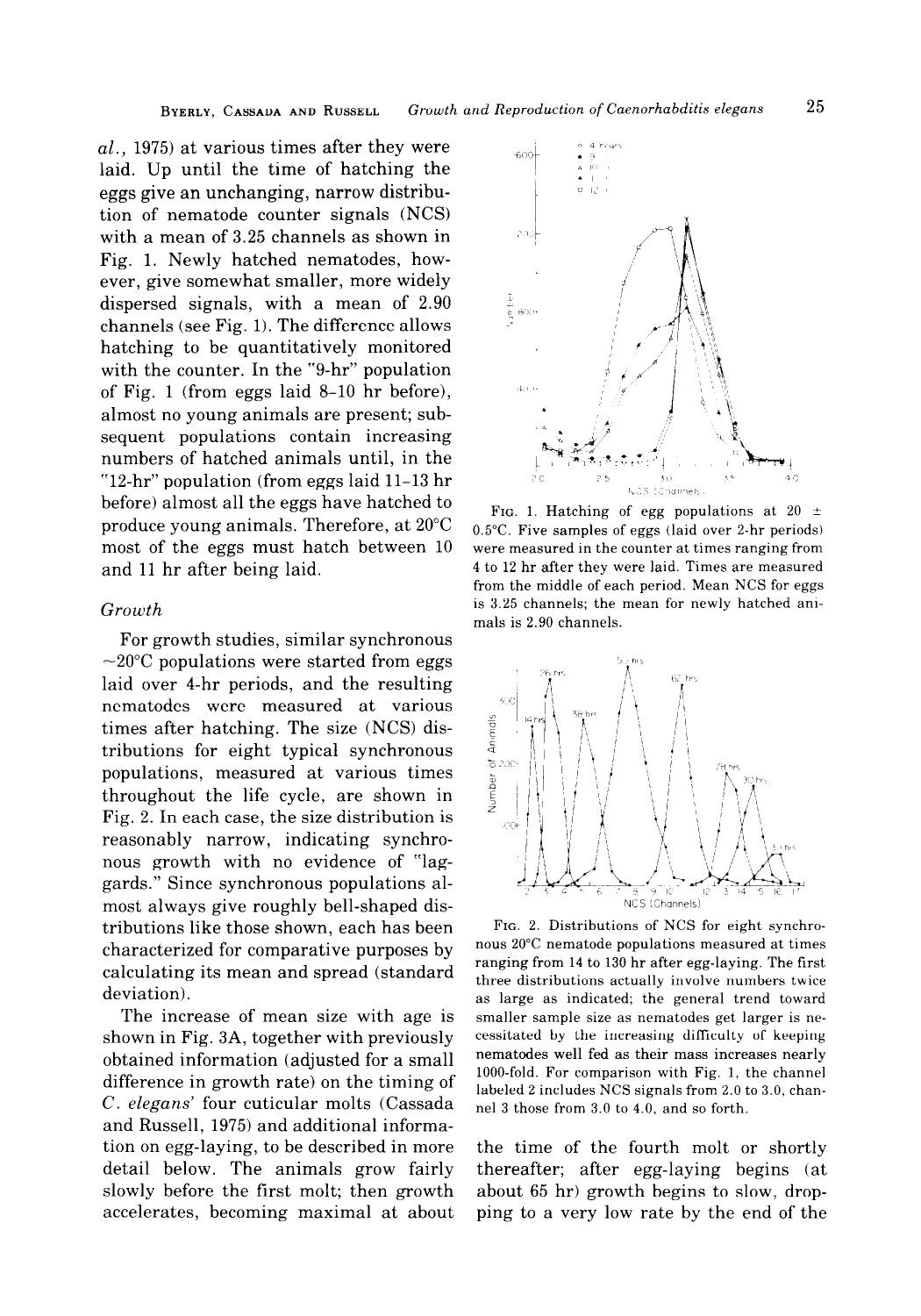$al.$ , 1975) at various times after they were laid. Up until the time of hatching the eggs give an unchanging, narrow distribution of nematode counter signals (NCS) with a mean of 3.25 channels as shown in Fig. 1. Newly hatched nematodes, however, give somewhat smaller, more widely dispersed signals, with a mean of 2.90 channels (see Fig. 1). The difference allows hatching to be quantitatively monitored with the counter. In the "9-hr" population of Fig. 1 (from eggs laid 8-10 hr before), almost no young animals are present; subsequent populations contain increasing numbers of hatched animals until, in the " $12$ -hr" population (from eggs laid  $11-13$  hr before) almost all the eggs have hatched to produce young animals. Therefore, at 20°C most of the eggs must hatch between 10 and 11 hr after being laid.

## Growth

For growth studies, similar synchronous  $\sim$ 20 $\degree$ C populations were started from eggs laid over 4-hr periods, and the resulting nematodes were measured at various times after hatching. The size (NCS) distributions for eight typical synchronous populations, measured at various times throughout the life cycle, are shown in Fig. 2. In each case, the size distribution is reasonably narrow, indicating synchronous growth with no evidence of "laggards." Since synchronous populations almost always give roughly bell-shaped distributions like those shown, each has been characterized for comparative purposes by calculating its mean and spread (standard deviation).

The increase of mean size with age is shown in Fig. 3A, together with previously obtained information (adjusted for a small difference in growth rate) on the timing of C. elegans' four cuticular molts (Cassada and Russell, 1975) and additional information on egg-laying, to be described in more detail below. The animals grow fairly slowly before the first molt; then growth accelerates, becoming maximal at about



FIG. 1. Hatching of egg populations at 20  $\pm$ 0.5%. Five samples of eggs (laid over 2-hr periods) were measured in the counter at times ranging from 4 to 12 hr after they were laid. Times are measured from the middle of each period. Mean NCS for eggs is 3.25 channels; the mean for newly hatched animals is 2.90 channels.



FIG. 2. Distributions of NCS for eight synchronous 20°C nematode populations measured at times ranging from 14 to 130 hr after egg-laying. The first three distributions actually involve numbers twice as large as indicated; the general trend toward smaller sample size as nematodes get larger is necessitated by the increasing difficulty of keeping nematodes well fed as their mass increases nearly lOOO-fold. For comparison with Fig. 1, the channel labeled 2 includes NCS signals from 2.0 to 3.0, channel 3 those from 3.0 to 4.0, and so forth.

the time of the fourth molt or shortly thereafter; after egg-laying begins (at about 65 hr) growth begins to slow, dropping to a very low rate by the end of the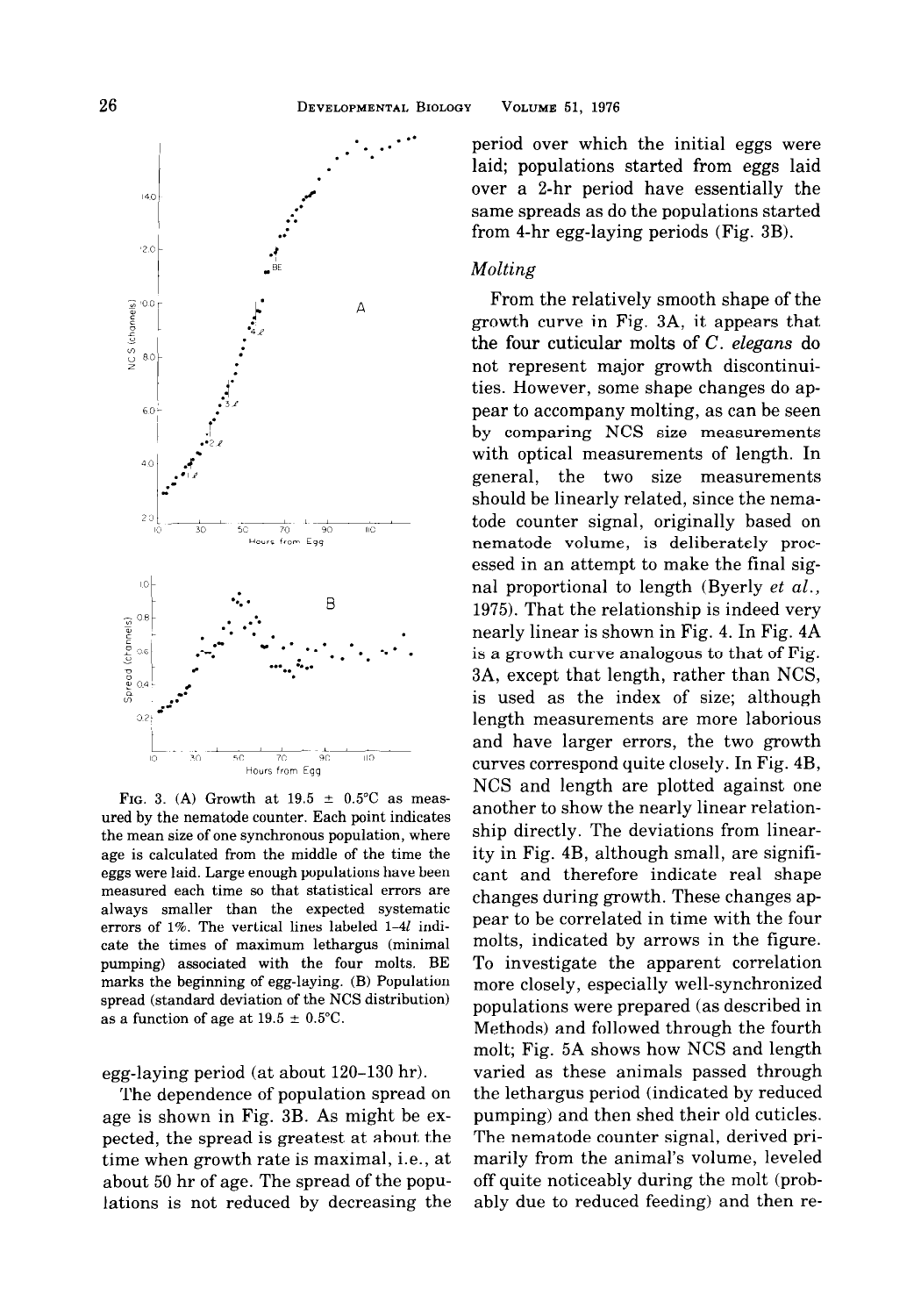

FIG. 3. (A) Growth at  $19.5 \pm 0.5$ °C as measured by the nematode counter. Each point indicates the mean size of one synchronous population, where age is calculated from the middle of the time the eggs were laid. Large enough populations have been measured each time so that statistical errors are always smaller than the expected systematic errors of 1%. The vertical lines labeled 1-41 indicate the times of maximum lethargus (minimal pumping) associated with the four molts. BE marks the beginning of egg-laying. (B) Population spread (standard deviation of the NCS distribution) as a function of age at  $19.5 \pm 0.5$ °C.

## egg-laying period (at about 120-130 hr).

The dependence of population spread on age is shown in Fig. 3B. As might be expected, the spread is greatest at about the time when growth rate is maximal, i.e., at about 50 hr of age. The spread of the populations is not reduced by decreasing the

period over which the initial eggs were laid; populations started from eggs laid over a 2-hr period have essentially the same spreads as do the populations started from 4-hr egg-laying periods (Fig. 3B).

### Molting

From the relatively smooth shape of the growth curve in Fig. 3A, it appears that the four cuticular molts of  $C$ . elegans do not represent major growth discontinuities. However, some shape changes do appear to accompany molting, as can be seen by comparing NCS size measurements with optical measurements of length. In general, the two size measurements should be linearly related, since the nematode counter signal, originally based on nematode volume, is deliberately processed in an attempt to make the final signal proportional to length (Byerly et al., 1975). That the relationship is indeed very nearly linear is shown in Fig. 4. In Fig. 4A is a growth curve analogous to that of Fig. 3A, except that length, rather than NCS, is used as the index of size; although length measurements are more laborious and have larger errors, the two growth curves correspond quite closely. In Fig. 4B, NCS and length are plotted against one another to show the nearly linear relationship directly. The deviations from linearity in Fig. 4B, although small, are significant and therefore indicate real shape changes during growth. These changes appear to be correlated in time with the four molts, indicated by arrows in the figure. To investigate the apparent correlation more closely, especially well-synchronized populations were prepared (as described in Methods) and followed through the fourth molt; Fig. 5A shows how NCS and length varied as these animals passed through the lethargus period (indicated by reduced pumping) and then shed their old cuticles. The nematode counter signal, derived primarily from the animal's volume, leveled off quite noticeably during the molt (probably due to reduced feeding) and then re-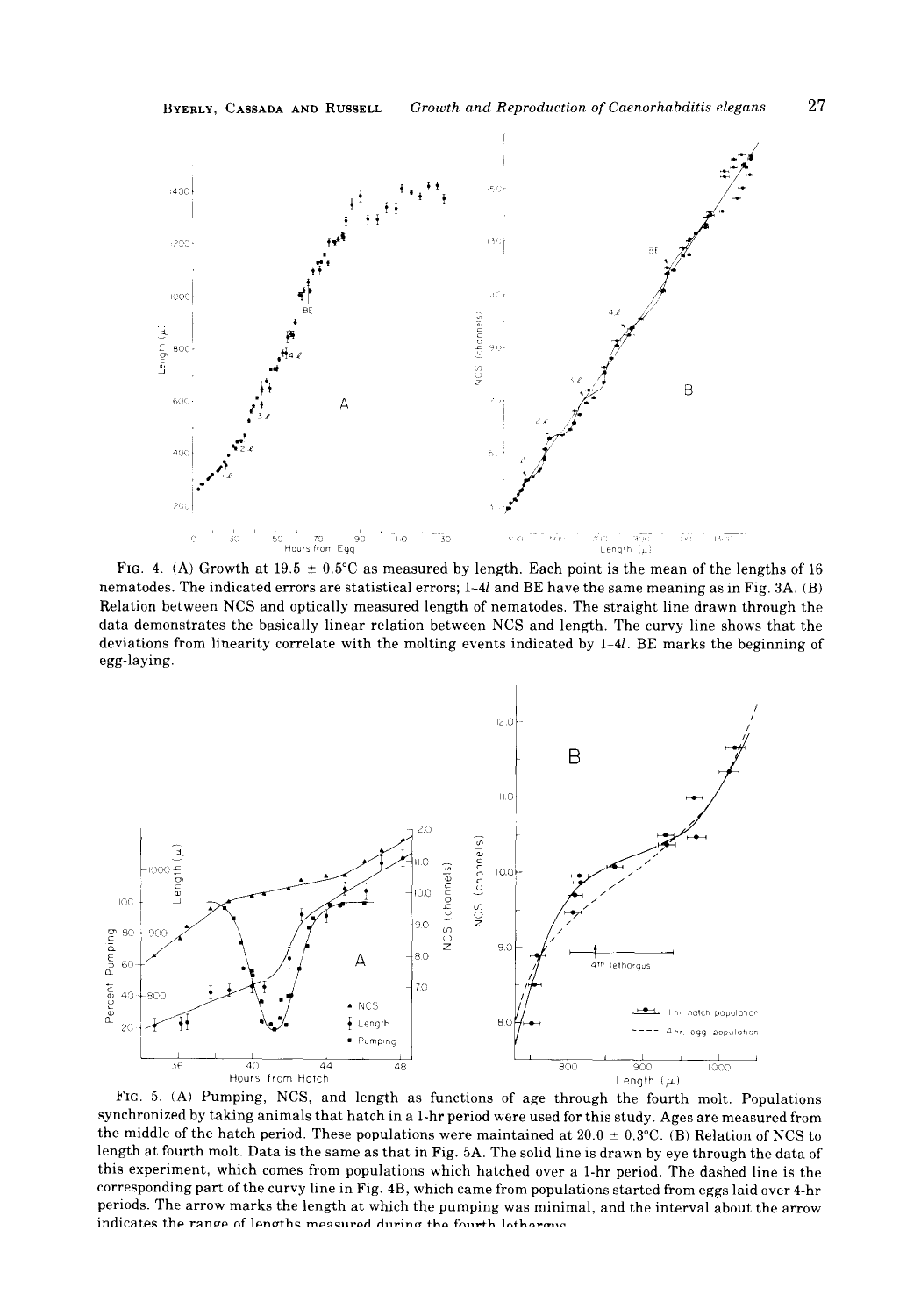

FIG. 4. (A) Growth at 19.5  $\pm$  0.5°C as measured by length. Each point is the mean of the lengths of 16 nematodes. The indicated errors are statistical errors; l-41 and BE have the same meaning as in Fig. 3A. (B) Relation between NCS and optically measured length of nematodes. The straight line drawn through the data demonstrates the basically linear relation between NCS and length. The curvy line shows that the deviations from linearity correlate with the molting events indicated by l-41. BE marks the beginning of egg-laying.



FIG. 5. (A) Pumping, NCS, and length as functions of age through the fourth molt. Populations synchronized by taking animals that hatch in a 1-hr period were used for this study. Ages are measured from the middle of the hatch period. These populations were maintained at  $20.0 \pm 0.3$ °C. (B) Relation of NCS to length at fourth molt. Data is the same as that in Fig. 5A. The solid line is drawn by eye through the data of this experiment, which comes from populations which hatched over a 1-hr period. The dashed line is the corresponding part of the curvy line in Fig. 4B, which came from populations started from eggs laid over 4-hr periods. The arrow marks the length at which the pumping was minimal, and the interval about the arrow indicates the range of lengths measured during the fourth lethormic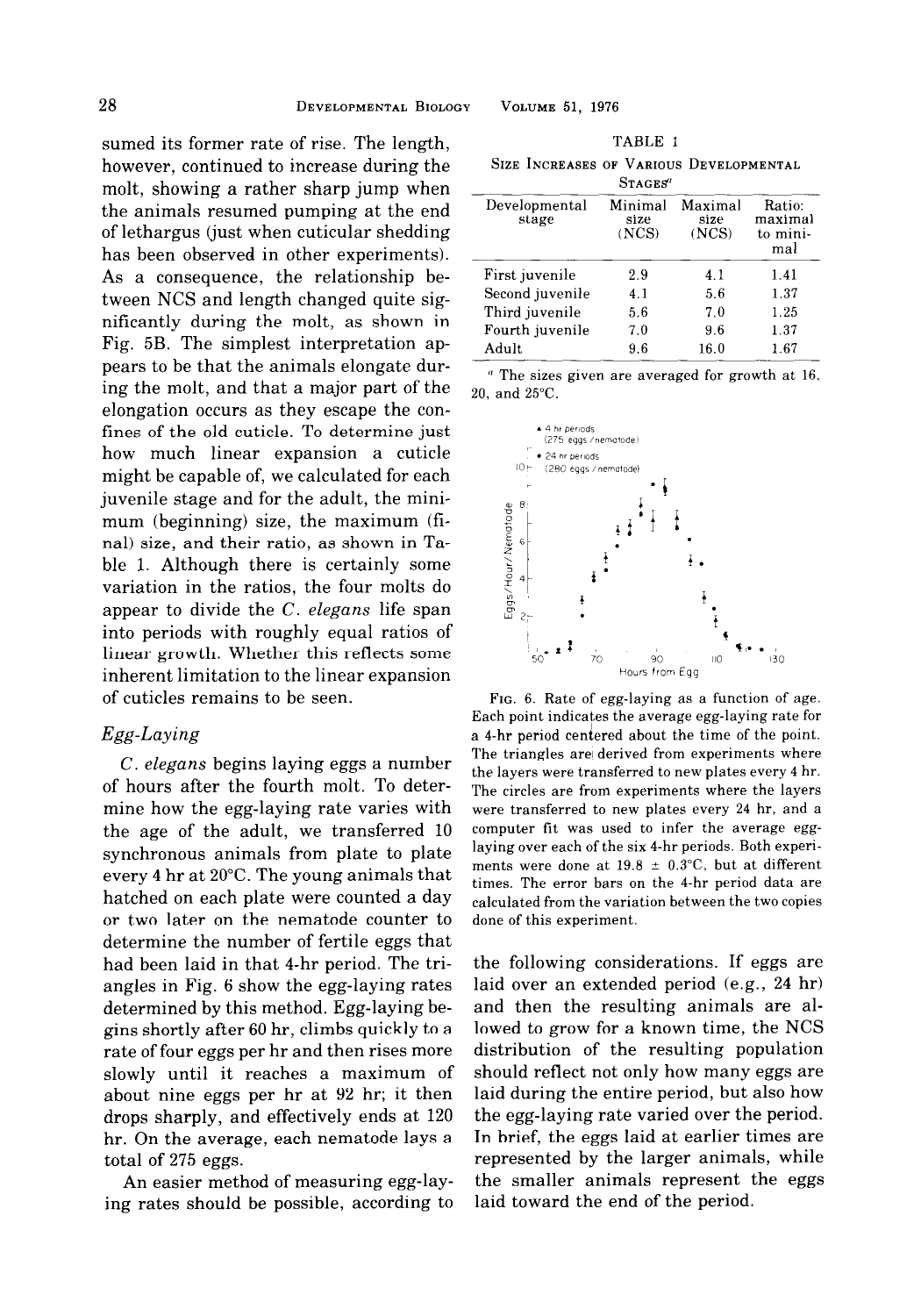sumed its former rate of rise. The length, however, continued to increase during the molt, showing a rather sharp jump when the animals resumed pumping at the end of lethargus (just when cuticular shedding has been observed in other experiments). As a consequence, the relationship between NCS and length changed quite significantly during the molt, as shown in Fig. 5B. The simplest interpretation appears to be that the animals elongate during the molt, and that a major part of the elongation occurs as they escape the confines of the old cuticle. To determine just how much linear expansion a cuticle might be capable of, we calculated for each juvenile stage and for the adult, the minimum (beginning) size, the maximum (final) size, and their ratio, as shown in Table 1. Although there is certainly some variation in the ratios, the four molts do appear to divide the C. elegans life span into periods with roughly equal ratios of linear growth. Whether this reflects some inherent limitation to the linear expansion of cuticles remains to be seen.

## Egg-Laying

C. elegans begins laying eggs a number of hours after the fourth molt. To determine how the egg-laying rate varies with the age of the adult, we transferred 10 synchronous animals from plate to plate every 4 hr at 20°C. The young animals that hatched on each plate were counted a day or two later on the nematode counter to determine the number of fertile eggs that had been laid in that 4-hr period. The triangles in Fig. 6 show the egg-laying rates determined by this method. Egg-laying begins shortly after 60 hr, climbs quickly to a rate of four eggs per hr and then rises more slowly until it reaches a maximum of about nine eggs per hr at 92 hr; it then drops sharply, and effectively ends at 120 hr. On the average, each nematode lays a total of 215 eggs.

An easier method of measuring egg-laying rates should be possible, according to

| TABLE |  |  |
|-------|--|--|
|       |  |  |

|          |  |  |  | SIZE INCREASES OF VARIOUS DEVELOPMENTAL |
|----------|--|--|--|-----------------------------------------|
| SraGES'' |  |  |  |                                         |

| Developmental<br>stage | Minimal<br>size<br>(NCS) | Maximal<br>size<br>(NCS) | Ratio.<br>maximal<br>to mini-<br>mal |
|------------------------|--------------------------|--------------------------|--------------------------------------|
| First juvenile         | 2.9                      | 4.1                      | 1.41                                 |
| Second juvenile        | 4.1                      | 5.6                      | 1.37                                 |
| Third juvenile         | 5.6                      | 7.0                      | 1.25                                 |
| Fourth juvenile        | 7.0                      | 9.6                      | 1.37                                 |
| Adult                  | 9.6                      | 16.0                     | 1.67                                 |
|                        |                          |                          |                                      |

 $\degree$  The sizes given are averaged for growth at 16, 20, and 25°C.



FIG. 6. Rate of egg-laying as a function of age. Each point indicates the average egg-laying rate for a 4-hr period centered about the time of the point. The triangles are derived from experiments where the layers were transferred to new plates every 4 hr. The circles are from experiments where the layers were transferred to new plates every 24 hr, and a computer fit was used to infer the average egglaying over each of the six 4-hr periods. Both experiments were done at  $19.8 \pm 0.3$ °C, but at different times. The error bars on the 4-hr period data are calculated from the variation between the two copies done of this experiment.

the following considerations. If eggs are laid over an extended period (e.g., 24 hr) and then the resulting animals are allowed to grow for a known time, the NCS distribution of the resulting population should reflect not only how many eggs are laid during the entire period, but also how the egg-laying rate varied over the period. In brief, the eggs laid at earlier times are represented by the larger animals, while the smaller animals represent the eggs laid toward the end of the period.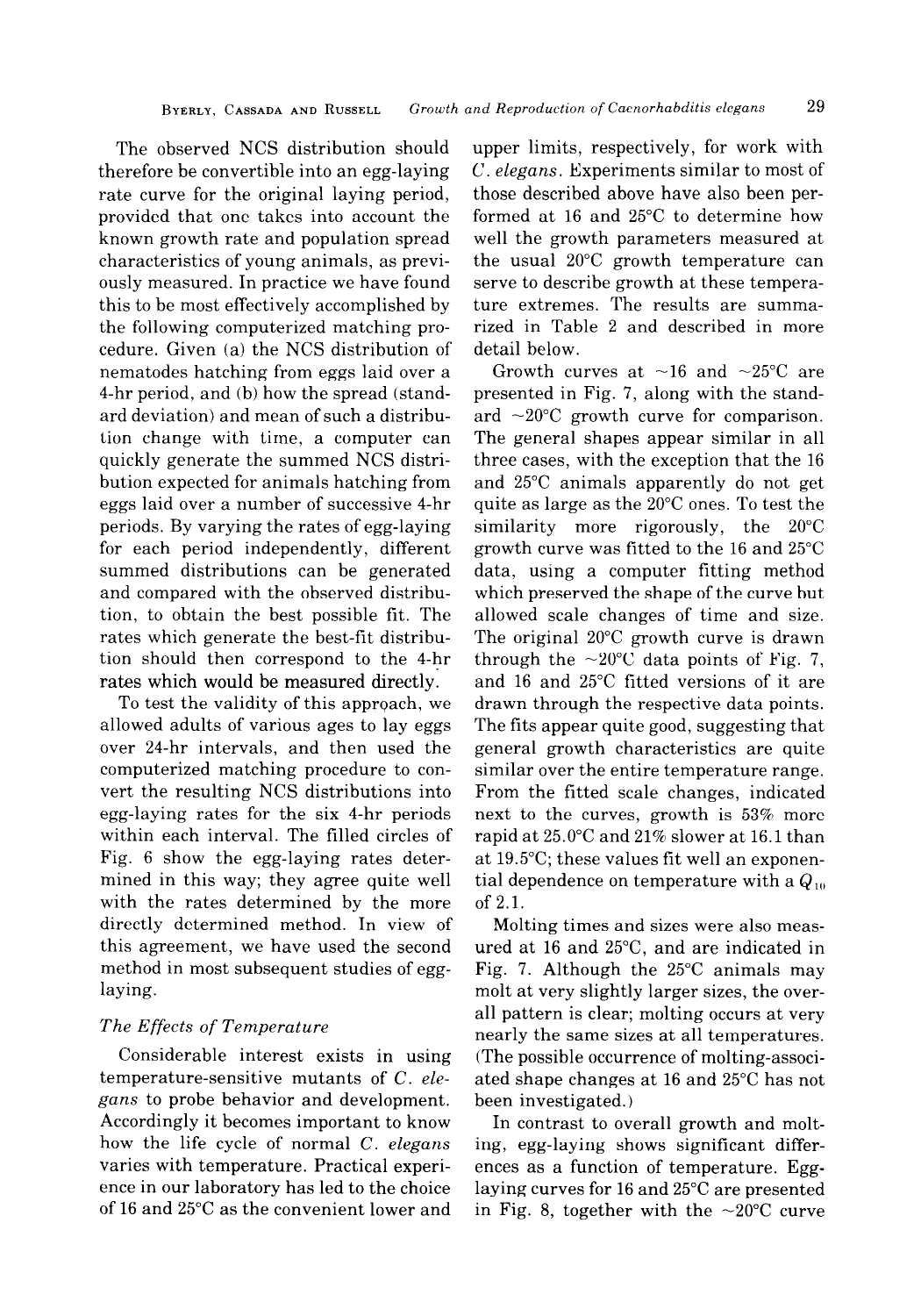The observed NCS distribution should therefore be convertible into an egg-laying rate curve for the original laying period, provided that one takes into account the known growth rate and population spread characteristics of young animals, as previously measured. In practice we have found this to be most effectively accomplished by the following computerized matching procedure. Given (a) the NCS distribution of nematodes hatching from eggs laid over a 4-hr period, and (b) how the spread (standard deviation) and mean of such a distribution change with time, a computer can quickly generate the summed NCS distribution expected for animals hatching from eggs laid over a number of successive 4-hr periods. By varying the rates of egg-laying for each period independently, different summed distributions can be generated and compared with the observed distribution, to obtain the best possible fit. The rates which generate the best-fit distribution should then correspond to the 4-hr rates which would be measured directly:

To test the validity of this approach, we allowed adults of various ages to lay eggs over 24-hr intervals, and then used the computerized matching procedure to convert the resulting NCS distributions into egg-laying rates for the six 4-hr periods within each interval. The filled circles of Fig. 6 show the egg-laying rates determined in this way; they agree quite well with the rates determined by the more directly determined method. In view of this agreement, we have used the second method in most subsequent studies of egglaying.

## The Effects of Temperature

Considerable interest exists in using temperature-sensitive mutants of C. elegans to probe behavior and development. Accordingly it becomes important to know how the life cycle of normal C. elegans varies with temperature. Practical experience in our laboratory has led to the choice of 16 and 25°C as the convenient lower and

upper limits, respectively, for work with C. elegans. Experiments similar to most of those described above have also been performed at 16 and 25°C to determine how well the growth parameters measured at the usual 20°C growth temperature can serve to describe growth at these temperature extremes. The results are summarized in Table 2 and described in more detail below.

Growth curves at  $\sim$ 16 and  $\sim$ 25°C are presented in Fig. 7, along with the standard  $\sim$ 20 $\degree$ C growth curve for comparison. The general shapes appear similar in all three cases, with the exception that the 16 and 25°C animals apparently do not get quite as large as the 20°C ones. To test the similarity more rigorously, the 20°C growth curve was fitted to the 16 and 25°C data, using a computer fitting method which preserved the shape of the curve but allowed scale changes of time and size. The original 20°C growth curve is drawn through the  $\sim$ 20°C data points of Fig. 7, and 16 and 25°C fitted versions of it are drawn through the respective data points. The fits appear quite good, suggesting that general growth characteristics are quite similar over the entire temperature range. From the fitted scale changes, indicated next to the curves, growth is 53% more rapid at 25.O"C and 21% slower at 16.1 than at 19.5"C; these values fit well an exponential dependence on temperature with a  $Q_{10}$ of 2.1.

Molting times and sizes were also measured at 16 and 25"C, and are indicated in Fig. 7. Although the 25°C animals may molt at very slightly larger sizes, the overall pattern is clear; molting occurs at very nearly the same sizes at all temperatures. (The possible occurrence of molting-associated shape changes at 16 and 25°C has not been investigated.)

In contrast to overall growth and molting, egg-laying shows significant differences as a function of temperature. Egglaying curves for 16 and 25°C are presented in Fig. 8, together with the  $\sim$ 20 $\degree$ C curve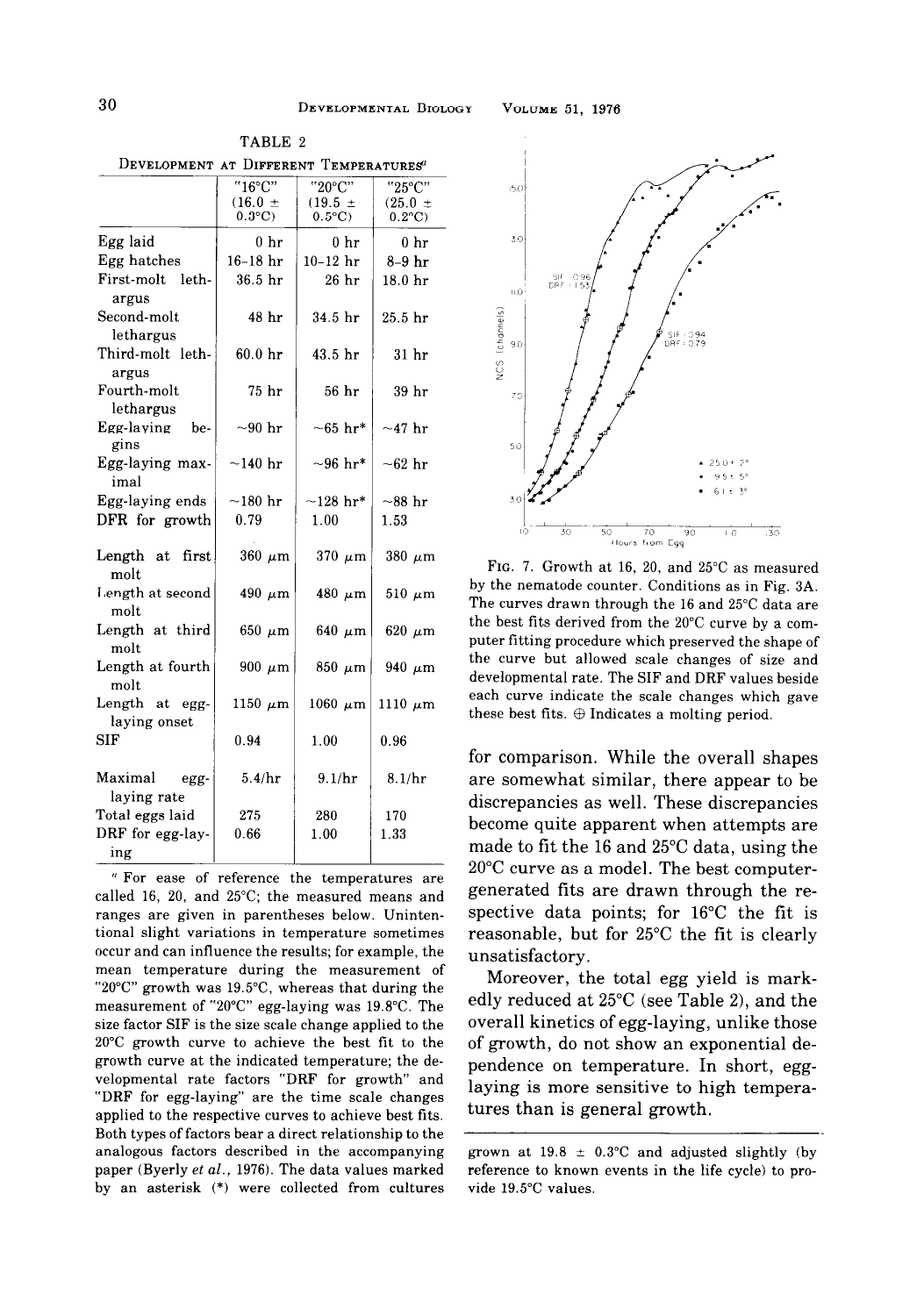| DEVELOPMENT AT DIFFERENT TEMPERATURES" |                    |                           |                    |
|----------------------------------------|--------------------|---------------------------|--------------------|
|                                        | "16°C"             | "20°C"                    | "25°C"             |
|                                        | $(16.0 \pm$        | $(19.5 \pm$               | $(25.0 +$          |
|                                        | $0.3$ °C)          | $0.5^{\circ}C$            | $0.2$ °C)          |
| Egg laid                               | $0\;{\rm hr}$      | $0\;{\rm hr}$             | 0 <sub>hr</sub>    |
| Egg hatches                            | $16-18$ hr         | $10-12$ hr                | $8-9$ hr           |
| First-molt<br>leth-<br>argus           | 36.5 <sub>hr</sub> | $26$ hr                   | 18.0 <sub>hr</sub> |
| Second-molt                            | 48 hr              | 34.5 hr                   | 25.5 <sub>hr</sub> |
| lethargus                              |                    |                           |                    |
| Third-molt leth-<br>argus              | 60.0 <sub>hr</sub> | 43.5 hr                   | 31 <sub>hr</sub>   |
| Fourth-molt<br>lethargus               | 75 hr              | 56 hr                     | 39 hr              |
| Egg-laying<br>be-<br>gins              | $\sim 90$ hr       | $-65\,\,\mathrm{hr^*}$    | $\sim$ 47 hr       |
| Egg-laying max-<br>imal                | $\sim$ 140 hr      | $\sim 96$ hr <sup>*</sup> | $\sim 62$ hr       |
| Egg-laying ends                        | $\sim$ 180 hr      | $-128$ hr*                | $\sim$ 88 hr       |
| DFR for growth                         | 0.79               | 1.00                      | 1.53               |
| Length at<br>first.<br>molt            | $360 \mu m$        | $370 \mu m$               | $380 \mu m$        |
| Length at second<br>molt               | $490 \mu m$        | $480 \mu m$               | $510 \ \mu m$      |
| Length at third<br>molt                | $650 \mu m$        | 640 $\mu$ m               | $620 \mu m$        |
| Length at fourth<br>molt               | 900 $\mu$ m        | $850 \mu m$               | 940 $\mu$ m        |
| Length at egg-<br>laying onset         | 1150 $\mu$ m       | $1060 \mu m$              | 1110 $\mu$ m       |
| SIF                                    | 0.94               | 1.00                      | 0.96               |
| Maximal<br>egg-<br>laying rate         | 5.4/hr             | 9.1/hr                    | 8.1/hr             |
| Total eggs laid                        | 275                | 280                       | 170                |
| DRF for egg-lay-<br>ing                | 0.66               | 1.00                      | 1.33               |
| " For ease<br>of                       | reference          | the<br>temperatures       | are                |

TABLE 2

called 16, 20, and 25°C; the measured means and ranges are given in parentheses below. Unintentional slight variations in temperature sometimes occur and can influence the results; for example, the mean temperature during the measurement of "20°C" growth was 19.5"C, whereas that during the measurement of "20 $^{\circ}$ C" egg-laying was 19.8 $^{\circ}$ C. The size factor SIF is the size scale change applied to the 20°C growth curve to achieve the best fit to the growth curve at the indicated temperature; the developmental rate factors "DRF for growth" and "DRF for egg-laying" are the time scale changes applied to the respective curves to achieve best fits. Both types of factors bear a direct relationship to the analogous factors described in the accompanying paper (Byerly et al., 1976). The data values marked by an asterisk (\*) were collected from cultures



FIG. 7. Growth at 16, 20, and 25°C as measured by the nematode counter. Conditions as in Fig. 3A. The curves drawn through the 16 and 25°C data are the best fits derived from the 20°C curve by a computer fitting procedure which preserved the shape of the curve but allowed scale changes of size and developmental rate. The SIF and DRF values beside each curve indicate the scale changes which gave these best fits.  $\oplus$  Indicates a molting period.

for comparison. While the overall shapes are somewhat similar, there appear to be discrepancies as well. These discrepancies become quite apparent when attempts are made to fit the 16 and 25°C data, using the 20°C curve as a model. The best computergenerated fits are drawn through the respective data points; for 16°C the fit is reasonable, but for 25°C the fit is clearly unsatisfactory.

Moreover, the total egg yield is markedly reduced at  $25^{\circ}$ C (see Table 2), and the overall kinetics of egg-laying, unlike those of growth, do not show an exponential dependence on temperature. In short, egglaying is more sensitive to high temperatures than is general growth.

grown at 19.8  $\pm$  0.3°C and adjusted slightly (by reference to known events in the life cycle) to provide 19.5"C values,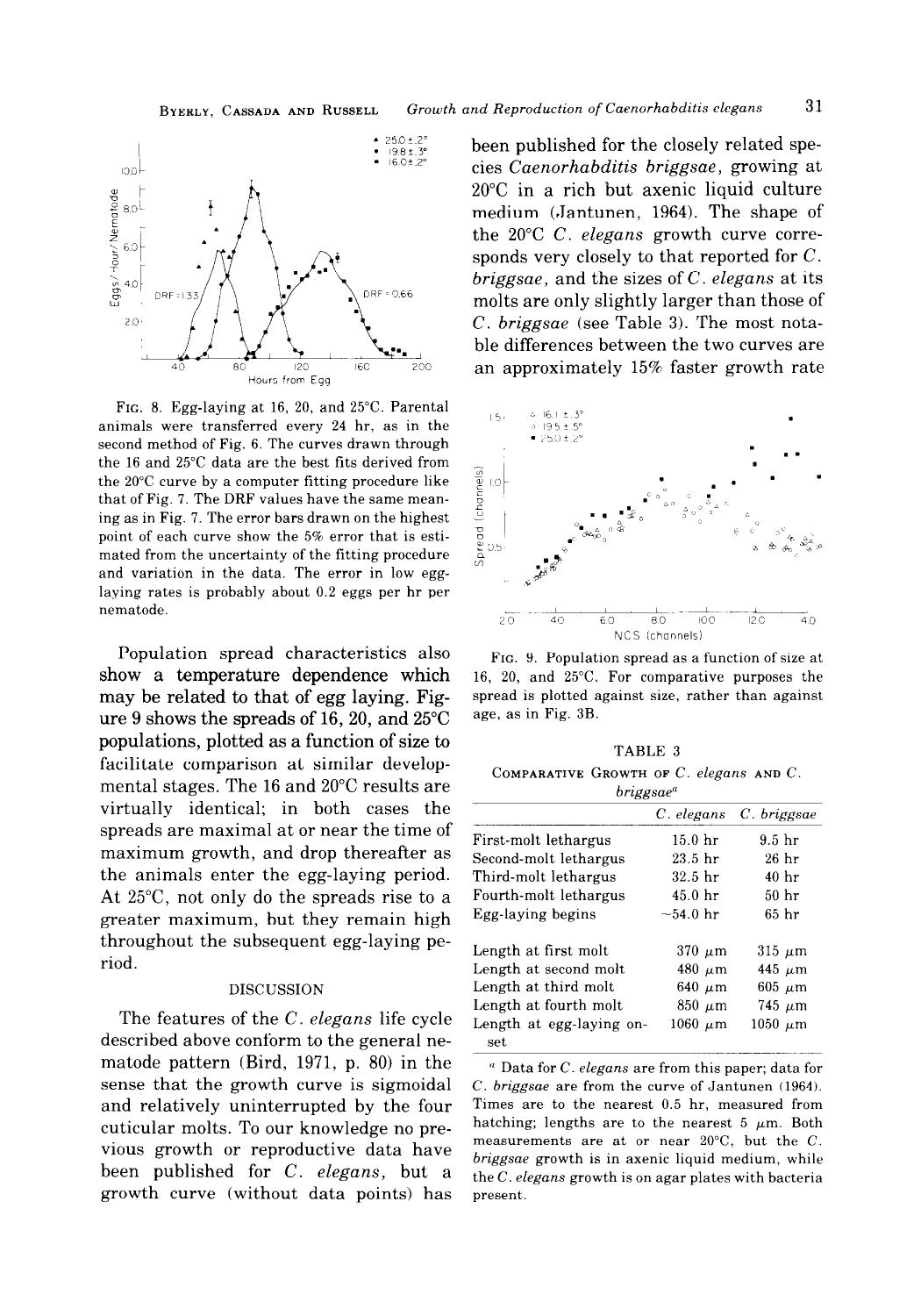

FIG. 8. Egg-laying at 16, 20, and 25°C. Parental FIG. 6. Eigenaying at 10, 20, and 25 C. I are that  $\frac{15}{24}$  hr, as in the ...  $\frac{246.1 \pm .3^8}{9252.15^9}$ second method of Fig. 6. The curves drawn through the 16 and 25°C data are the best fits derived from<br>the 20°C curve by a computer fitting procedure like<br>that of Fig. 7. The DRF values have the same mean-<br>ing as in Fig. 7. The error bars drawn on the highest<br>point of eac the 20°C curve by a computer fitting procedure like that of Fig. 7. The DRF values have the same meaning as in Fig. 7. The error bars drawn on the highest point of each curve show the 5% error that is estimated from the uncertainty of the fitting procedure and variation in the data. The error in low egglaying rates is probably about 0.2 eggs per hr per nematode

Population spread characteristics also  $F_{IG.}$  9. Population spread as a function of size at show a temperature dependence which 16, 20, and 25°C. For comparative purposes the may be related to that of egg laying. Fig- spread is plotted against size, rather than against ure 9 shows the spreads of 16, 20, and  $25^{\circ}$ C age, as in Fig. 3B. populations, plotted as a function of size to TABLE 3 facilitate comparison at similar developmental stages. The 16 and 20°C results are virtually identical; in both cases the spreads are maximal at or near the time of maximum growth, and drop thereafter as the animals enter the egg-laying period. At  $25^{\circ}$ C, not only do the spreads rise to a greater maximum, but they remain high throughout the subsequent egg-laying period.

#### DISCUSSION

The features of the C. elegans life cycle described above conform to the general nematode pattern (Bird, 1971, p. 80) in the  $\overline{a_{\text{Data for }C. elegans}}$  are from this paper; data for sense that the growth curve is sigmoidal C. briggsae are from the curve of Jantunen (1964). and relatively uninterrupted by the four Times are to the nearest 0.5 hr, measured from<br>cuticular molts. To our knowledge no pre-<br>hatching; lengths are to the nearest 5  $\mu$ m. Both cuticular molts. To our knowledge no pre-<br>measurements are at or near 20°C, but the C. vious growth or reproductive data have been published for C. elegans, but a growth curve (without data points) has present.

been published for the closely related species Caenorhabditis briggsae, growing at 20°C in a rich but axenic liquid culture medium (Jantunen, 1964). The shape of the 20°C C. elegans growth curve corresponds very closely to that reported for C. briggsae, and the sizes of  $C$ . elegans at its molts are only slightly larger than those of C. briggsae (see Table 3). The most notable differences between the two curves are an approximately 15% faster growth rate



COMPARATIVE GROWTH OF  $C$ . elegans AND  $C$ .  $bri$ ggene<sup>n</sup>

| $\sim$ $\sim$            |                     |                   |  |  |  |
|--------------------------|---------------------|-------------------|--|--|--|
|                          | C. elegans          | C. briggsae       |  |  |  |
| First-molt lethargus     | 15.0 <sub>hr</sub>  | 9.5 <sub>hr</sub> |  |  |  |
| Second-molt lethargus    | $23.5\;$ hr         | 26 <sub>hr</sub>  |  |  |  |
| Third-molt lethargus     | 32.5 <sub>hr</sub>  | 40 <sub>hr</sub>  |  |  |  |
| Fourth-molt lethargus    | 45.0 <sub>hr</sub>  | 50 <sub>hr</sub>  |  |  |  |
| Egg-laying begins        | $\sim$ 54.0 hr      | 65 hr             |  |  |  |
| Length at first molt     | $370~\mu m$         | $315 \mu m$       |  |  |  |
| Length at second molt    | 480 $\mu$ m         | 445 $\mu$ m       |  |  |  |
| Length at third molt     | 640 $\mu$ m         | $605 \mu m$       |  |  |  |
| Length at fourth molt    | $850 \mu m$         | $745 \mu m$       |  |  |  |
| Length at egg-laying on- | $1060\,{\rm~\mu m}$ | $1050~\mu m$      |  |  |  |
| set                      |                     |                   |  |  |  |

briggsae growth is in axenic liquid medium, while the  $C$ . elegans growth is on agar plates with bacteria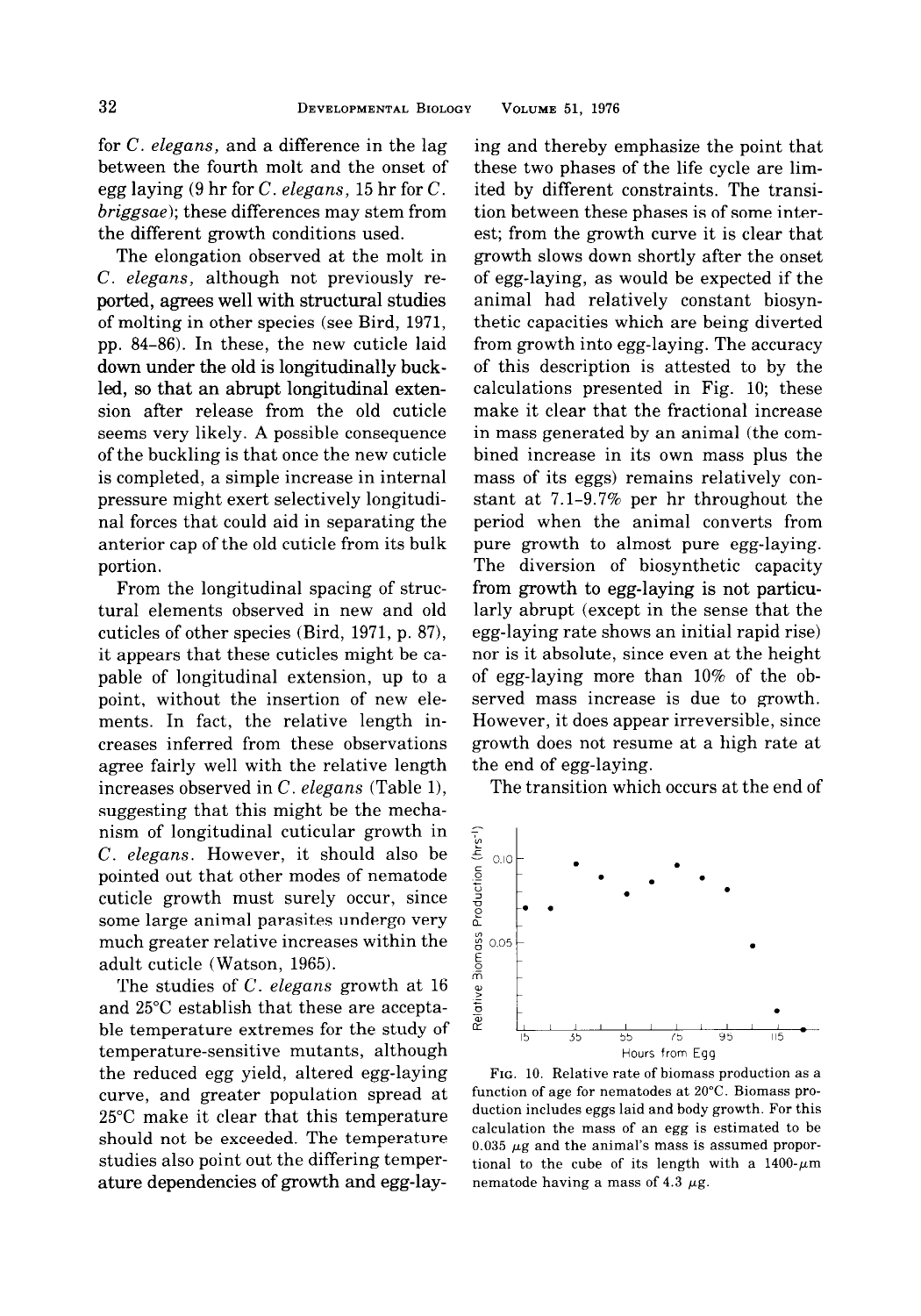for C. elegans, and a difference in the lag between the fourth molt and the onset of egg laying (9 hr for  $C$ . elegans, 15 hr for  $C$ . briggsae); these differences may stem from the different growth conditions used.

The elongation observed at the molt in C. elegans, although not previously reported, agrees well with structural studies of molting in other species (see Bird, 1971, pp. 84-86). In these, the new cuticle laid down under the old is longitudinally buckled, so that an abrupt longitudinal extension after release from the old cuticle seems very likely. A possible consequence of the buckling is that once the new cuticle is completed, a simple increase in internal pressure might exert selectively longitudinal forces that could aid in separating the anterior cap of the old cuticle from its bulk portion.

From the longitudinal spacing of structural elements observed in new and old cuticles of other species (Bird, 1971, p. 87), it appears that these cuticles might be capable of longitudinal extension, up to a point, without the insertion of new elements. In fact, the relative length increases inferred from these observations agree fairly well with the relative length increases observed in  $C$ . elegans (Table 1), suggesting that this might be the mechanism of longitudinal cuticular growth in C. elegans. However, it should also be pointed out that other modes of nematode cuticle growth must surely occur, since some large animal parasites undergo very much greater relative increases within the adult cuticle (Watson, 1965).

The studies of C. elegans growth at 16 and 25°C establish that these are acceptable temperature extremes for the study of temperature-sensitive mutants, although the reduced egg yield, altered egg-laying curve, and greater population spread at 25°C make it clear that this temperature should not be exceeded. The temperature studies also point out the differing temperature dependencies of growth and egg-lay-

ing and thereby emphasize the point that these two phases of the life cycle are limited by different constraints. The transition between these phases is of some interest; from the growth curve it is clear that growth slows down shortly after the onset of egg-laying, as would be expected if the animal had relatively constant biosynthetic capacities which are being diverted from growth into egg-laying. The accuracy of this description is attested to by the calculations presented in Fig. 10; these make it clear that the fractional increase in mass generated by an animal (the combined increase in its own mass plus the mass of its eggs) remains relatively constant at 7.1-9.7% per hr throughout the period when the animal converts from pure growth to almost pure egg-laying. The diversion of biosynthetic capacity from growth to egg-laying is not particularly abrupt (except in the sense that the egg-laying rate shows an initial rapid rise) nor is it absolute, since even at the height of egg-laying more than 10% of the observed mass increase is due to growth. However, it does appear irreversible, since growth does not resume at a high rate at the end of egg-laying.

The transition which occurs at the end of



FIG. 10. Relative rate of biomass production as a function of age for nematodes at 20°C. Biomass production includes eggs laid and body growth. For this calculation the mass of an egg is estimated to be  $0.035$   $\mu$ g and the animal's mass is assumed proportional to the cube of its length with a  $1400 \text{-} \mu \text{m}$ nematode having a mass of 4.3  $\mu$ g.